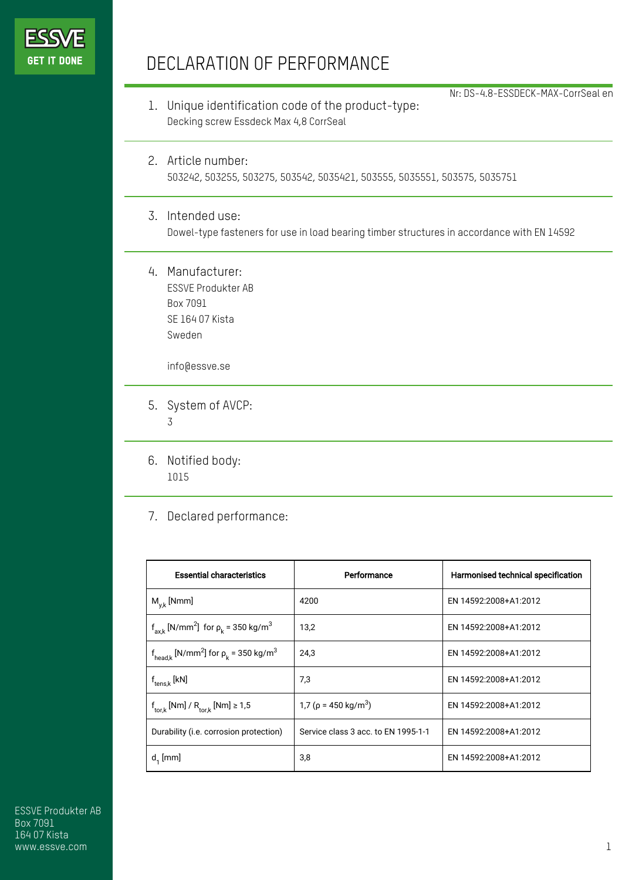

## DECLARATION OF PERFORMANCE

1. Unique identification code of the product-type: Decking screw Essdeck Max 4,8 CorrSeal

Nr: DS-4.8-ESSDECK-MAX-CorrSeal en

- 2. Article number: 503242, 503255, 503275, 503542, 5035421, 503555, 5035551, 503575, 5035751
- 3. Intended use: Dowel-type fasteners for use in load bearing timber structures in accordance with EN 14592
- 4. Manufacturer: ESSVE Produkter AB Box 7091 SE 164 07 Kista Sweden

info@essve.se

- 5. System of AVCP: 3
- 6. Notified body: 1015
- 7. Declared performance:

| <b>Essential characteristics</b>                                              | Performance                            | Harmonised technical specification |
|-------------------------------------------------------------------------------|----------------------------------------|------------------------------------|
| $M_{v,k}$ [Nmm]                                                               | 4200                                   | EN 14592:2008+A1:2012              |
| $f_{axk}$ [N/mm <sup>2</sup> ] for $\rho_k$ = 350 kg/m <sup>3</sup>           | 13,2                                   | EN 14592:2008+A1:2012              |
| $f_{\text{head},k}$ [N/mm <sup>2</sup> ] for $\rho_k$ = 350 kg/m <sup>3</sup> | 24.3                                   | EN 14592:2008+A1:2012              |
| $f_{tens.k}$ [kN]                                                             | 7,3                                    | EN 14592:2008+A1:2012              |
| $f_{\text{tor},k}$ [Nm] / $R_{\text{tor},k}$ [Nm] $\geq 1.5$                  | 1,7 ( $\rho$ = 450 kg/m <sup>3</sup> ) | EN 14592:2008+A1:2012              |
| Durability (i.e. corrosion protection)                                        | Service class 3 acc. to EN 1995-1-1    | EN 14592:2008+A1:2012              |
| $d_1$ [mm]                                                                    | 3,8                                    | EN 14592:2008+A1:2012              |